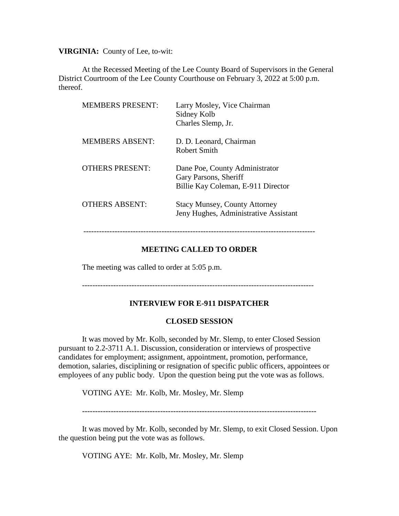**VIRGINIA:** County of Lee, to-wit:

At the Recessed Meeting of the Lee County Board of Supervisors in the General District Courtroom of the Lee County Courthouse on February 3, 2022 at 5:00 p.m. thereof.

| <b>MEMBERS PRESENT:</b> | Larry Mosley, Vice Chairman<br>Sidney Kolb<br>Charles Slemp, Jr.                              |
|-------------------------|-----------------------------------------------------------------------------------------------|
| <b>MEMBERS ABSENT:</b>  | D. D. Leonard, Chairman<br>Robert Smith                                                       |
| <b>OTHERS PRESENT:</b>  | Dane Poe, County Administrator<br>Gary Parsons, Sheriff<br>Billie Kay Coleman, E-911 Director |
| <b>OTHERS ABSENT:</b>   | <b>Stacy Munsey, County Attorney</b><br>Jeny Hughes, Administrative Assistant                 |

### **MEETING CALLED TO ORDER**

-----------------------------------------------------------------------------------------

The meeting was called to order at 5:05 p.m.

-----------------------------------------------------------------------------------------

### **INTERVIEW FOR E-911 DISPATCHER**

### **CLOSED SESSION**

It was moved by Mr. Kolb, seconded by Mr. Slemp, to enter Closed Session pursuant to 2.2-3711 A.1. Discussion, consideration or interviews of prospective candidates for employment; assignment, appointment, promotion, performance, demotion, salaries, disciplining or resignation of specific public officers, appointees or employees of any public body. Upon the question being put the vote was as follows.

VOTING AYE: Mr. Kolb, Mr. Mosley, Mr. Slemp

------------------------------------------------------------------------------------------

It was moved by Mr. Kolb, seconded by Mr. Slemp, to exit Closed Session. Upon the question being put the vote was as follows.

VOTING AYE: Mr. Kolb, Mr. Mosley, Mr. Slemp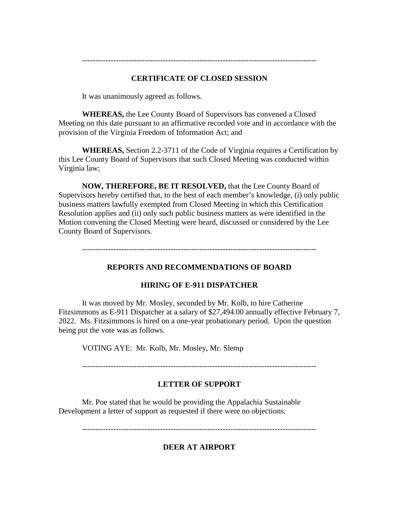# **CERTIFICATE OF CLOSED SESSION**

It was unanimously agreed as follows.

**WHEREAS,** the Lee County Board of Supervisors has convened a Closed Meeting on this date pursuant to an affirmative recorded vote and in accordance with the provision of the Virginia Freedom of Information Act; and

**WHEREAS,** Section 2.2-3711 of the Code of Virginia requires a Certification by this Lee County Board of Supervisors that such Closed Meeting was conducted within Virginia law;

**NOW, THEREFORE, BE IT RESOLVED,** that the Lee County Board of Supervisors hereby certified that, to the best of each member's knowledge, (i) only public business matters lawfully exempted from Closed Meeting in which this Certification Resolution applies and (ii) only such public business matters as were identified in the Motion convening the Closed Meeting were heard, discussed or considered by the Lee County Board of Supervisors.

------------------------------------------------------------------------------------------

## **REPORTS AND RECOMMENDATIONS OF BOARD**

## **HIRING OF E-911 DISPATCHER**

It was moved by Mr. Mosley, seconded by Mr. Kolb, to hire Catherine Fitzsimmons as E-911 Dispatcher at a salary of \$27,494.00 annually effective February 7, 2022. Ms. Fitzsimmons is hired on a one-year probationary period. Upon the question being put the vote was as follows.

VOTING AYE: Mr. Kolb, Mr. Mosley, Mr. Slemp

------------------------------------------------------------------------------------------

## **LETTER OF SUPPORT**

Mr. Poe stated that he would be providing the Appalachia Sustainable Development a letter of support as requested if there were no objections.

------------------------------------------------------------------------------------------

**DEER AT AIRPORT**